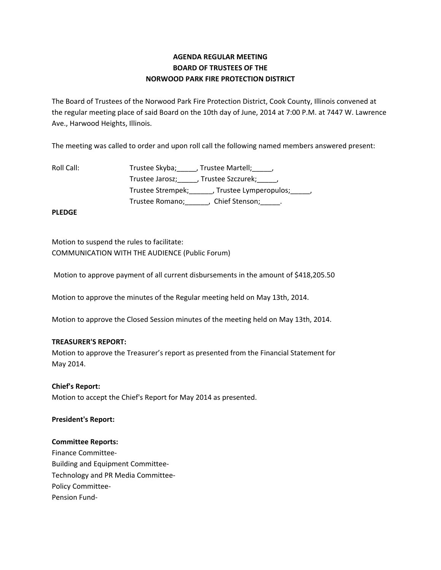# **AGENDA REGULAR MEETING BOARD OF TRUSTEES OF THE NORWOOD PARK FIRE PROTECTION DISTRICT**

The Board of Trustees of the Norwood Park Fire Protection District, Cook County, Illinois convened at the regular meeting place of said Board on the 10th day of June, 2014 at 7:00 P.M. at 7447 W. Lawrence Ave., Harwood Heights, Illinois.

The meeting was called to order and upon roll call the following named members answered present:

| Trustee Skyba;<br>, Trustee Martell; , ,                |
|---------------------------------------------------------|
| Trustee Jarosz; , Trustee Szczurek; ,                   |
| Trustee Strempek; _______, Trustee Lymperopulos; _____, |
| Chief Stenson; ______.<br>Trustee Romano;               |
|                                                         |

**PLEDGE**

Motion to suspend the rules to facilitate: COMMUNICATION WITH THE AUDIENCE (Public Forum)

Motion to approve payment of all current disbursements in the amount of \$418,205.50

Motion to approve the minutes of the Regular meeting held on May 13th, 2014.

Motion to approve the Closed Session minutes of the meeting held on May 13th, 2014.

## **TREASURER'S REPORT:**

Motion to approve the Treasurer's report as presented from the Financial Statement for May 2014.

## **Chief's Report:**

Motion to accept the Chief's Report for May 2014 as presented.

## **President's Report:**

### **Committee Reports:**

Finance Committee‐ Building and Equipment Committee‐ Technology and PR Media Committee‐ Policy Committee‐ Pension Fund‐